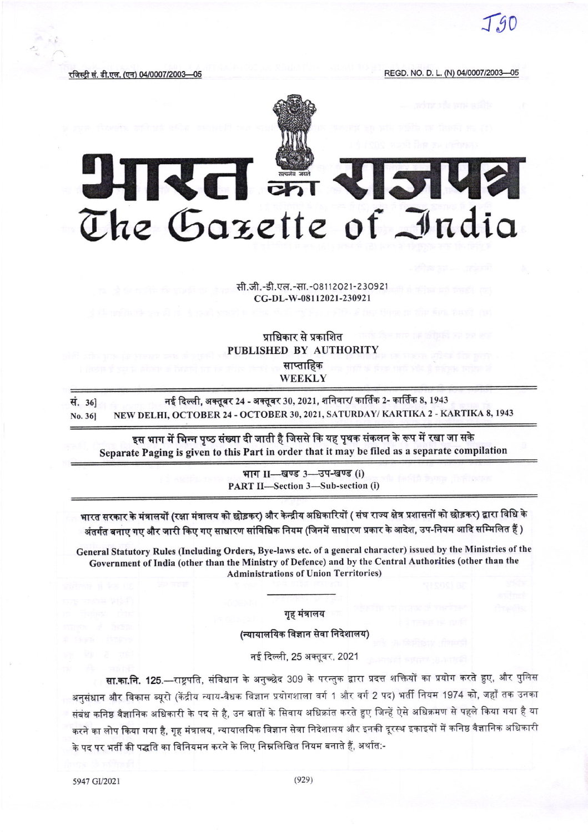$-90$ 

रजिस्टी सं. डी.एल. (एन) 04/0007/2003—05

REGD. NO. D. L. (N) 04/0007/2003-05



## UHRT M **SVE** The Gazette of India

सी.जी.-डी.एल.-सा.-08112021-230921 CG-DL-W-08112021-230921

## प्राधिकार से प्रकाशित PUBLISHED BY AUTHORITY साप्ताहिक WEEKLY

नई दिल्ली, अक्तुबर 24 - अक्तूबर 30, 2021, शनिवार/ कार्तिक 2- कार्तिक 8, 1943 सं. 361 NEW DELHI, OCTOBER 24 - OCTOBER 30, 2021, SATURDAY/ KARTIKA 2 - KARTIKA 8, 1943 No. 36]

इस भाग में भिन्न पृष्ठ संख्या दी जाती है जिससे कि यह पृथक संकलन के रूप में रखा जा सके Separate Paging is given to this Part in order that it may be filed as a separate compilation

> भाग II-खण्ड 3-उप-खण्ड (i) PART II-Section 3-Sub-section (i)

भारत सरकार के मंत्रालयों (रक्षा मंत्रालय को छोड़कर) और केन्द्रीय अधिकारियों ( संघ राज्य क्षेत्र प्रशासनों को छोड़कर) द्वारा विधि के अंतर्गत बनाए गए और जारी किए गए साधारण सांविधिक नियम (जिनमें साधारण प्रकार के आदेश, उप-नियम आदि सम्मिलित हैं )

General Statutory Rules (Including Orders, Bye-laws etc. of a general character) issued by the Ministries of the Government of India (other than the Ministry of Defence) and by the Central Authorities (other than the **Administrations of Union Territories)** 

गृह मंत्रालय

(न्यायालयिक विज्ञान सेवा निदेशालय)

नई दिल्ली, 25 अक्तूबर, 2021

**सा.का.नि. 125**.—राष्ट्रपति, संविधान के अनुच्छेद 309 के परन्तुक द्वारा प्रदत्त शक्तियों का प्रयोग करते हुए, और पुलिस अनुसंधान और विकास ब्यूरो (केंद्रीय न्याय-वैधक विज्ञान प्रयोगशाला वर्ग 1 और वर्ग 2 पद) भर्ती नियम 1974 को, जहाँ तक उनका संबंध कनिष्ठ वैज्ञानिक अधिकारी के पद से है, उन बातों के सिवाय अधिक्रांत करते हुए जिन्हें ऐसे अधिक्रमण से पहले किया गया है या करने का लोप किया गया है, गृह मंत्रालय, न्यायालयिक विज्ञान सेवा निदेशालय और इनकी दूरस्थ इकाइयों में कनिष्ठ वैज्ञानिक अधिकारी के पद पर भर्ती की पद्धति का विनियमन करने के लिए निम्नलिखित नियम बनाते हैं, अर्थात:-